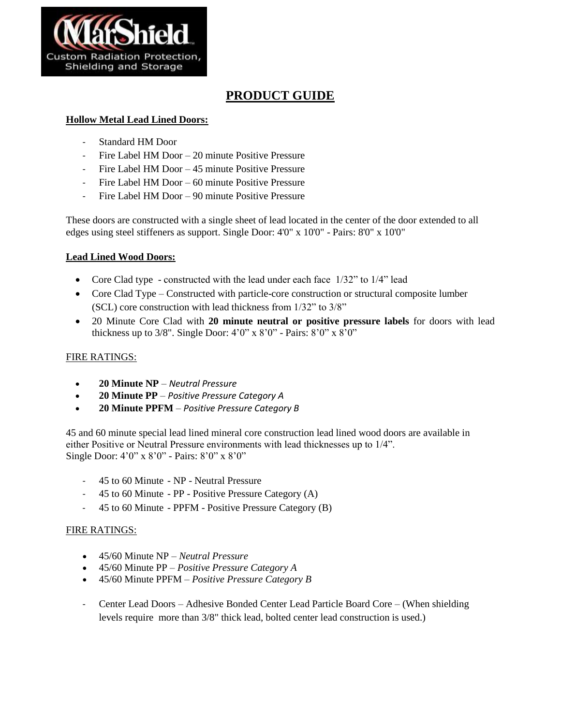

# **PRODUCT GUIDE**

## **Hollow Metal Lead Lined Doors:**

- Standard HM Door
- Fire Label HM Door 20 minute Positive Pressure
- Fire Label HM Door 45 minute Positive Pressure
- Fire Label HM Door 60 minute Positive Pressure
- Fire Label HM Door 90 minute Positive Pressure

These doors are constructed with a single sheet of lead located in the center of the door extended to all edges using steel stiffeners as support. Single Door: 4'0" x 10'0" - Pairs: 8'0" x 10'0"

#### **Lead Lined Wood Doors:**

- Core Clad type constructed with the lead under each face  $1/32$ " to  $1/4$ " lead
- Core Clad Type Constructed with particle-core construction or structural composite lumber (SCL) core construction with lead thickness from 1/32" to 3/8"
- 20 Minute Core Clad with **20 minute neutral or positive pressure labels** for doors with lead thickness up to  $3/8$ ". Single Door:  $4'0''$  x  $8'0''$  - Pairs:  $8'0''$  x  $8'0''$

### FIRE RATINGS:

- **20 Minute NP** *Neutral Pressure*
- **20 Minute PP** *Positive Pressure Category A*
- **20 Minute PPFM**  *Positive Pressure Category B*

45 and 60 minute special lead lined mineral core construction lead lined wood doors are available in either Positive or Neutral Pressure environments with lead thicknesses up to 1/4". Single Door: 4'0" x 8'0" - Pairs: 8'0" x 8'0"

- 45 to 60 Minute NP Neutral Pressure
- 45 to 60 Minute PP Positive Pressure Category (A)
- 45 to 60 Minute PPFM Positive Pressure Category (B)

#### FIRE RATINGS:

- 45/60 Minute NP *Neutral Pressure*
- 45/60 Minute PP *Positive Pressure Category A*
- 45/60 Minute PPFM *Positive Pressure Category B*
- Center Lead Doors Adhesive Bonded Center Lead Particle Board Core (When shielding levels require more than 3/8" thick lead, bolted center lead construction is used.)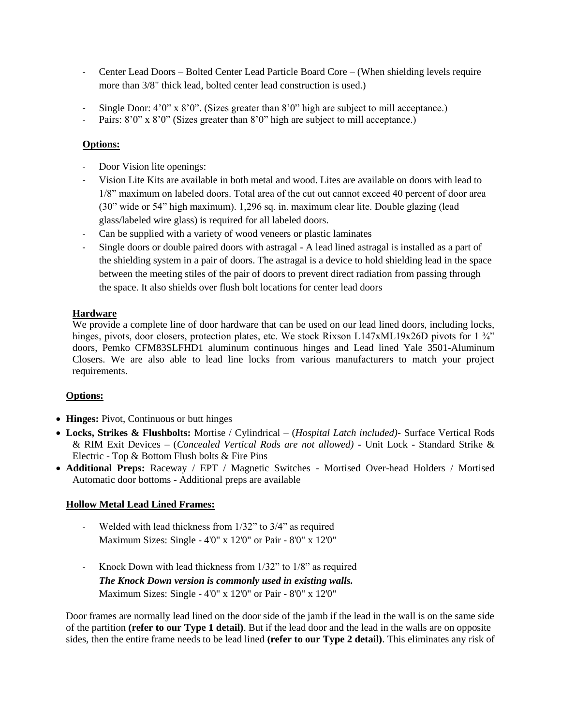- Center Lead Doors Bolted Center Lead Particle Board Core (When shielding levels require more than 3/8" thick lead, bolted center lead construction is used.)
- Single Door:  $4'0'' \times 8'0''$ . (Sizes greater than  $8'0''$  high are subject to mill acceptance.)
- Pairs:  $8'0''$  x  $8'0''$  (Sizes greater than  $8'0''$  high are subject to mill acceptance.)

## **Options:**

- Door Vision lite openings:
- Vision Lite Kits are available in both metal and wood. Lites are available on doors with lead to 1/8" maximum on labeled doors. Total area of the cut out cannot exceed 40 percent of door area (30" wide or 54" high maximum). 1,296 sq. in. maximum clear lite. Double glazing (lead glass/labeled wire glass) is required for all labeled doors.
- Can be supplied with a variety of wood veneers or plastic laminates
- Single doors or double paired doors with astragal A lead lined astragal is installed as a part of the shielding system in a pair of doors. The astragal is a device to hold shielding lead in the space between the meeting stiles of the pair of doors to prevent direct radiation from passing through the space. It also shields over flush bolt locations for center lead doors

## **Hardware**

We provide a complete line of door hardware that can be used on our lead lined doors, including locks, hinges, pivots, door closers, protection plates, etc. We stock Rixson L147xML19x26D pivots for 1  $\frac{3}{4}$ " doors, Pemko CFM83SLFHD1 aluminum continuous hinges and Lead lined Yale 3501-Aluminum Closers. We are also able to lead line locks from various manufacturers to match your project requirements.

## **Options:**

- **Hinges:** Pivot, Continuous or butt hinges
- **Locks, Strikes & Flushbolts:** Mortise / Cylindrical (*Hospital Latch included)-* Surface Vertical Rods & RIM Exit Devices – (*Concealed Vertical Rods are not allowed) -* Unit Lock - Standard Strike & Electric - Top & Bottom Flush bolts & Fire Pins
- **Additional Preps:** Raceway / EPT / Magnetic Switches Mortised Over-head Holders / Mortised Automatic door bottoms - Additional preps are available

## **Hollow Metal Lead Lined Frames:**

- Welded with lead thickness from 1/32" to 3/4" as required Maximum Sizes: Single - 4'0" x 12'0" or Pair - 8'0" x 12'0"
- Knock Down with lead thickness from 1/32" to 1/8" as required *The Knock Down version is commonly used in existing walls.* Maximum Sizes: Single - 4'0" x 12'0" or Pair - 8'0" x 12'0"

Door frames are normally lead lined on the door side of the jamb if the lead in the wall is on the same side of the partition **(refer to our Type 1 detail)**. But if the lead door and the lead in the walls are on opposite sides, then the entire frame needs to be lead lined **(refer to our Type 2 detail)**. This eliminates any risk of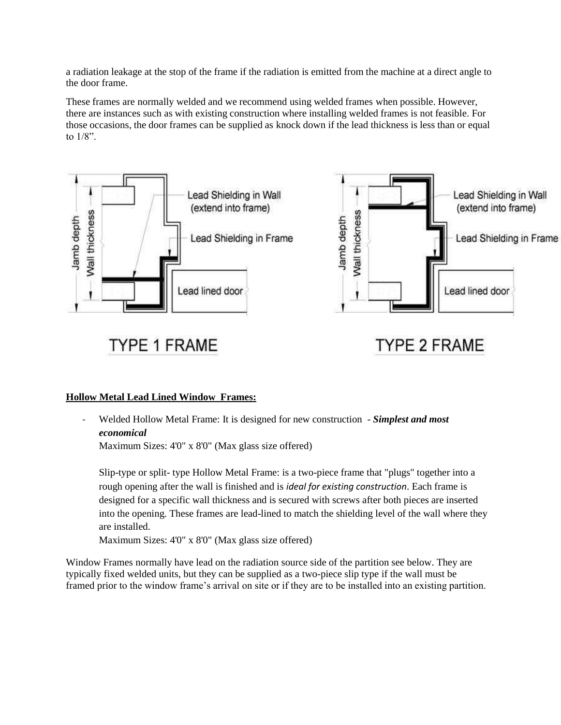a radiation leakage at the stop of the frame if the radiation is emitted from the machine at a direct angle to the door frame.

These frames are normally welded and we recommend using welded frames when possible. However, there are instances such as with existing construction where installing welded frames is not feasible. For those occasions, the door frames can be supplied as knock down if the lead thickness is less than or equal to 1/8".



## **Hollow Metal Lead Lined Window Frames:**

- Welded Hollow Metal Frame: It is designed for new construction - *Simplest and most economical*

Maximum Sizes: 4'0" x 8'0" (Max glass size offered)

Slip-type or split- type Hollow Metal Frame: is a two-piece frame that "plugs" together into a rough opening after the wall is finished and is *ideal for existing construction*. Each frame is designed for a specific wall thickness and is secured with screws after both pieces are inserted into the opening. These frames are lead-lined to match the shielding level of the wall where they are installed.

Maximum Sizes: 4'0" x 8'0" (Max glass size offered)

Window Frames normally have lead on the radiation source side of the partition see below. They are typically fixed welded units, but they can be supplied as a two-piece slip type if the wall must be framed prior to the window frame's arrival on site or if they are to be installed into an existing partition.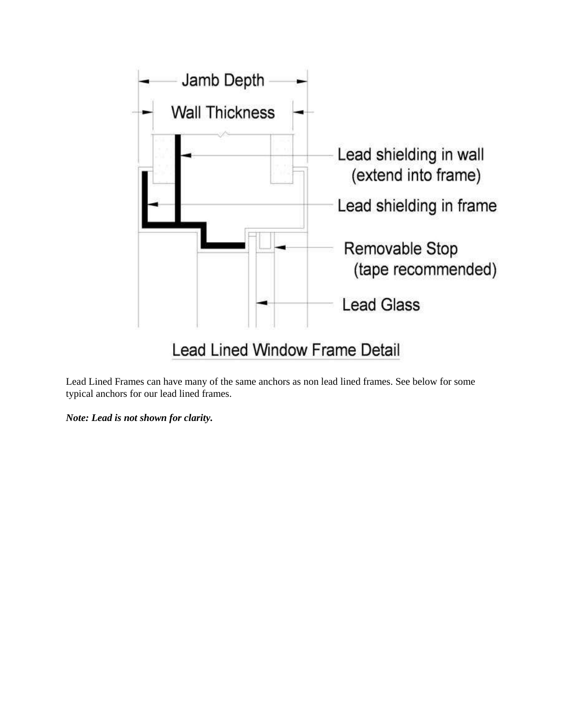

Lead Lined Frames can have many of the same anchors as non lead lined frames. See below for some typical anchors for our lead lined frames.

*Note: Lead is not shown for clarity.*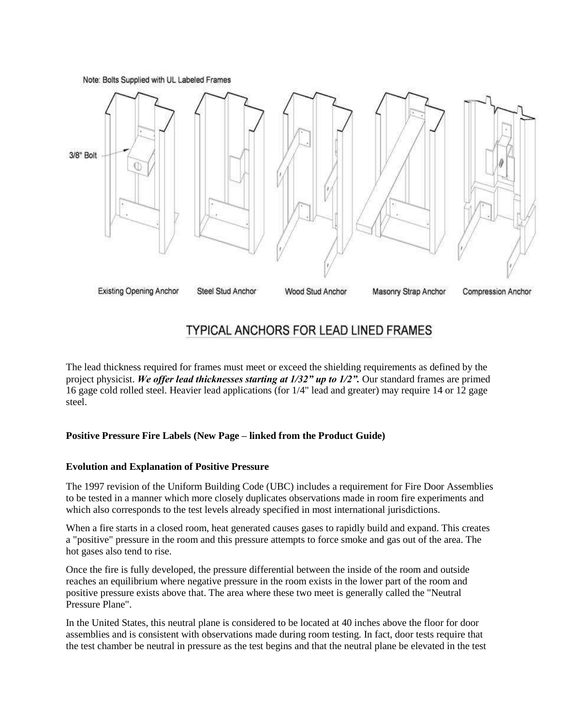Note: Bolts Supplied with UL Labeled Frames



## TYPICAL ANCHORS FOR LEAD LINED FRAMES

The lead thickness required for frames must meet or exceed the shielding requirements as defined by the project physicist. *We offer lead thicknesses starting at 1/32" up to 1/2".* Our standard frames are primed 16 gage cold rolled steel. Heavier lead applications (for 1/4" lead and greater) may require 14 or 12 gage steel.

#### **Positive Pressure Fire Labels (New Page – linked from the Product Guide)**

#### **Evolution and Explanation of Positive Pressure**

The 1997 revision of the Uniform Building Code (UBC) includes a requirement for Fire Door Assemblies to be tested in a manner which more closely duplicates observations made in room fire experiments and which also corresponds to the test levels already specified in most international jurisdictions.

When a fire starts in a closed room, heat generated causes gases to rapidly build and expand. This creates a "positive" pressure in the room and this pressure attempts to force smoke and gas out of the area. The hot gases also tend to rise.

Once the fire is fully developed, the pressure differential between the inside of the room and outside reaches an equilibrium where negative pressure in the room exists in the lower part of the room and positive pressure exists above that. The area where these two meet is generally called the "Neutral Pressure Plane".

In the United States, this neutral plane is considered to be located at 40 inches above the floor for door assemblies and is consistent with observations made during room testing. In fact, door tests require that the test chamber be neutral in pressure as the test begins and that the neutral plane be elevated in the test